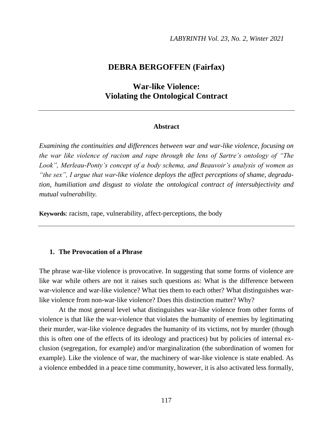## **DEBRA BERGOFFEN (Fairfax)**

# **War-like Violence: Violating the Ontological Contract**

### **Abstract**

*Examining the continuities and differences between war and war-like violence, focusing on the war like violence of racism and rape through the lens of Sartre's ontology of "The Look", Merleau-Ponty's concept of a body schema, and Beauvoir's analysis of women as "the sex", I argue that war-like violence deploys the affect perceptions of shame, degradation, humiliation and disgust to violate the ontological contract of intersubjectivity and mutual vulnerability.*

**Keywords**: racism, rape, vulnerability, affect-perceptions, the body

## **1. The Provocation of a Phrase**

The phrase war-like violence is provocative. In suggesting that some forms of violence are like war while others are not it raises such questions as: What is the difference between war-violence and war-like violence? What ties them to each other? What distinguishes warlike violence from non-war-like violence? Does this distinction matter? Why?

At the most general level what distinguishes war-like violence from other forms of violence is that like the war-violence that violates the humanity of enemies by legitimating their murder, war-like violence degrades the humanity of its victims, not by murder (though this is often one of the effects of its ideology and practices) but by policies of internal exclusion (segregation, for example) and/or marginalization (the subordination of women for example). Like the violence of war, the machinery of war-like violence is state enabled. As a violence embedded in a peace time community, however, it is also activated less formally,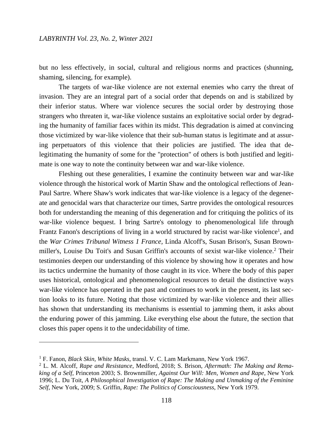but no less effectively, in social, cultural and religious norms and practices (shunning, shaming, silencing, for example).

The targets of war-like violence are not external enemies who carry the threat of invasion. They are an integral part of a social order that depends on and is stabilized by their inferior status. Where war violence secures the social order by destroying those strangers who threaten it, war-like violence sustains an exploitative social order by degrading the humanity of familiar faces within its midst. This degradation is aimed at convincing those victimized by war-like violence that their sub-human status is legitimate and at assuring perpetuators of this violence that their policies are justified. The idea that delegitimating the humanity of some for the "protection" of others is both justified and legitimate is one way to note the continuity between war and war-like violence.

Fleshing out these generalities, I examine the continuity between war and war-like violence through the historical work of Martin Shaw and the ontological reflections of Jean-Paul Sartre. Where Shaw's work indicates that war-like violence is a legacy of the degenerate and genocidal wars that characterize our times, Sartre provides the ontological resources both for understanding the meaning of this degeneration and for critiquing the politics of its war-like violence bequest. I bring Sartre's ontology to phenomenological life through Frantz Fanon's descriptions of living in a world structured by racist war-like violence<sup>1</sup>, and the *War Crimes Tribunal Witness 1 France,* Linda Alcoff's, Susan Brison's, Susan Brownmiller's, Louise Du Toit's and Susan Griffin's accounts of sexist war-like violence.<sup>2</sup> Their testimonies deepen our understanding of this violence by showing how it operates and how its tactics undermine the humanity of those caught in its vice. Where the body of this paper uses historical, ontological and phenomenological resources to detail the distinctive ways war-like violence has operated in the past and continues to work in the present, its last section looks to its future. Noting that those victimized by war-like violence and their allies has shown that understanding its mechanisms is essential to jamming them, it asks about the enduring power of this jamming. Like everything else about the future, the section that closes this paper opens it to the undecidability of time.

 $\overline{\phantom{a}}$ 

<sup>1</sup> F. Fanon, *Black Skin, White Masks*, transl. V. C. Lam Markmann, New York 1967.

<sup>2</sup> L. M. Alcoff, *Rape and Resistance*, Medford, 2018; S. Brison, *Aftermath: The Making and Remaking of a Self,* Princeton 2003; S. Brownmiller, *Against Our Will: Men, Women and Rape*, New York 1996; L. Du Toit, *A Philosophical Investigation of Rape: The Making and Unmaking of the Feminine Self*, New York, 2009; S. Griffin, *Rape: The Politics of Consciousness*, New York 1979.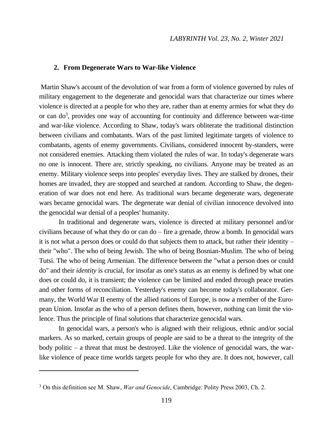#### **2. From Degenerate Wars to War-like Violence**

Martin Shaw's account of the devolution of war from a form of violence governed by rules of military engagement to the degenerate and genocidal wars that characterize our times where violence is directed at a people for who they are, rather than at enemy armies for what they do or can do<sup>3</sup>, provides one way of accounting for continuity and difference between war-time and war-like violence. According to Shaw, today's wars obliterate the traditional distinction between civilians and combatants. Wars of the past limited legitimate targets of violence to combatants, agents of enemy governments. Civilians, considered innocent by-standers, were not considered enemies. Attacking them violated the rules of war. In today's degenerate wars no one is innocent. There are, strictly speaking, no civilians. Anyone may be treated as an enemy. Military violence seeps into peoples' everyday lives. They are stalked by drones, their homes are invaded, they are stopped and searched at random. According to Shaw, the degeneration of war does not end here. As traditional wars became degenerate wars, degenerate wars became genocidal wars. The degenerate war denial of civilian innocence devolved into the genocidal war denial of a peoples' humanity.

In traditional and degenerate wars, violence is directed at military personnel and/or civilians because of what they do or can  $do$  – fire a grenade, throw a bomb. In genocidal wars it is not what a person does or could do that subjects them to attack, but rather their identity – their "who". The who of being Jewish. The who of being Bosnian-Muslim. The who of being Tutsi. The who of being Armenian. The difference between the "what a person does or could do" and their *identity* is crucial, for insofar as one's status as an enemy is defined by what one does or could do, it is transient; the violence can be limited and ended through peace treaties and other forms of reconciliation. Yesterday's enemy can become today's collaborator. Germany, the World War II enemy of the allied nations of Europe, is now a member of the European Union. Insofar as the who of a person defines them, however, nothing can limit the violence. Thus the principle of final solutions that characterize genocidal wars.

In genocidal wars, a person's who is aligned with their religious, ethnic and/or social markers. As so marked, certain groups of people are said to be a threat to the integrity of the body politic – a threat that must be destroyed. Like the violence of genocidal wars, the warlike violence of peace time worlds targets people for who they are. It does not, however, call

 $\overline{a}$ 

<sup>3</sup> On this definition see M. Shaw, *War and Genocide*, Cambridge: Polity Press 2003, Ch. 2.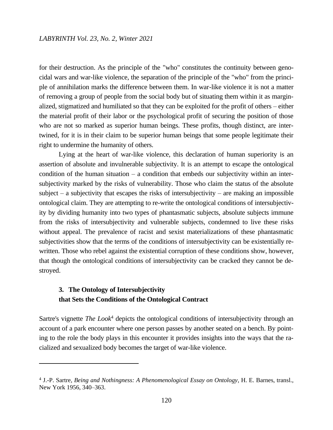for their destruction. As the principle of the "who" constitutes the continuity between genocidal wars and war-like violence, the separation of the principle of the "who" from the principle of annihilation marks the difference between them. In war-like violence it is not a matter of removing a group of people from the social body but of situating them within it as marginalized, stigmatized and humiliated so that they can be exploited for the profit of others – either the material profit of their labor or the psychological profit of securing the position of those who are not so marked as superior human beings. These profits, though distinct, are intertwined, for it is in their claim to be superior human beings that some people legitimate their right to undermine the humanity of others.

Lying at the heart of war-like violence, this declaration of human superiority is an assertion of absolute and invulnerable subjectivity. It is an attempt to escape the ontological condition of the human situation – a condition that embeds our subjectivity within an intersubjectivity marked by the risks of vulnerability. Those who claim the status of the absolute subject – a subjectivity that escapes the risks of intersubjectivity – are making an impossible ontological claim. They are attempting to re-write the ontological conditions of intersubjectivity by dividing humanity into two types of phantasmatic subjects, absolute subjects immune from the risks of intersubjectivity and vulnerable subjects, condemned to live these risks without appeal. The prevalence of racist and sexist materializations of these phantasmatic subjectivities show that the terms of the conditions of intersubjectivity can be existentially rewritten. Those who rebel against the existential corruption of these conditions show, however, that though the ontological conditions of intersubjectivity can be cracked they cannot be destroyed.

## **3. The Ontology of Intersubjectivity that Sets the Conditions of the Ontological Contract**

 $\overline{\phantom{a}}$ 

Sartre's vignette *The Look*<sup>4</sup> depicts the ontological conditions of intersubjectivity through an account of a park encounter where one person passes by another seated on a bench. By pointing to the role the body plays in this encounter it provides insights into the ways that the racialized and sexualized body becomes the target of war-like violence.

<sup>4</sup> J.-P. Sartre, *Being and Nothingness: A Phenomenological Essay on Ontology*, H. E. Barnes, transl., New York 1956, 340–363.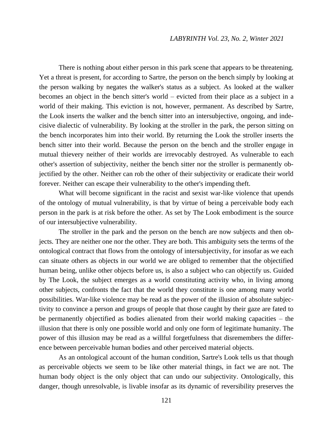There is nothing about either person in this park scene that appears to be threatening. Yet a threat is present, for according to Sartre, the person on the bench simply by looking at the person walking by negates the walker's status as a subject. As looked at the walker becomes an object in the bench sitter's world – evicted from their place as a subject in a world of their making. This eviction is not, however, permanent. As described by Sartre, the Look inserts the walker and the bench sitter into an intersubjective, ongoing, and indecisive dialectic of vulnerability. By looking at the stroller in the park, the person sitting on the bench incorporates him into their world. By returning the Look the stroller inserts the bench sitter into their world. Because the person on the bench and the stroller engage in mutual thievery neither of their worlds are irrevocably destroyed. As vulnerable to each other's assertion of subjectivity, neither the bench sitter nor the stroller is permanently objectified by the other. Neither can rob the other of their subjectivity or eradicate their world forever. Neither can escape their vulnerability to the other's impending theft.

What will become significant in the racist and sexist war-like violence that upends of the ontology of mutual vulnerability, is that by virtue of being a perceivable body each person in the park is at risk before the other. As set by The Look embodiment is the source of our intersubjective vulnerability.

The stroller in the park and the person on the bench are now subjects and then objects. They are neither one nor the other. They are both. This ambiguity sets the terms of the ontological contract that flows from the ontology of intersubjectivity, for insofar as we each can situate others as objects in our world we are obliged to remember that the objectified human being, unlike other objects before us, is also a subject who can objectify us. Guided by The Look, the subject emerges as a world constituting activity who, in living among other subjects, confronts the fact that the world they constitute is one among many world possibilities. War-like violence may be read as the power of the illusion of absolute subjectivity to convince a person and groups of people that those caught by their gaze are fated to be permanently objectified as bodies alienated from their world making capacities – the illusion that there is only one possible world and only one form of legitimate humanity. The power of this illusion may be read as a willful forgetfulness that disremembers the difference between perceivable human bodies and other perceived material objects.

As an ontological account of the human condition, Sartre's Look tells us that though as perceivable objects we seem to be like other material things, in fact we are not. The human body object is the only object that can undo our subjectivity. Ontologically, this danger, though unresolvable, is livable insofar as its dynamic of reversibility preserves the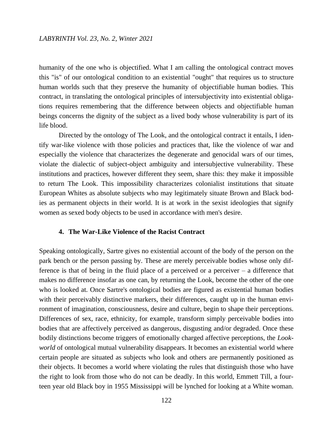humanity of the one who is objectified. What I am calling the ontological contract moves this "is" of our ontological condition to an existential "ought" that requires us to structure human worlds such that they preserve the humanity of objectifiable human bodies. This contract, in translating the ontological principles of intersubjectivity into existential obligations requires remembering that the difference between objects and objectifiable human beings concerns the dignity of the subject as a lived body whose vulnerability is part of its life blood.

Directed by the ontology of The Look, and the ontological contract it entails, I identify war-like violence with those policies and practices that, like the violence of war and especially the violence that characterizes the degenerate and genocidal wars of our times, violate the dialectic of subject-object ambiguity and intersubjective vulnerability. These institutions and practices, however different they seem, share this: they make it impossible to return The Look. This impossibility characterizes colonialist institutions that situate European Whites as absolute subjects who may legitimately situate Brown and Black bodies as permanent objects in their world. It is at work in the sexist ideologies that signify women as sexed body objects to be used in accordance with men's desire.

## **4. The War-Like Violence of the Racist Contract**

Speaking ontologically, Sartre gives no existential account of the body of the person on the park bench or the person passing by. These are merely perceivable bodies whose only difference is that of being in the fluid place of a perceived or a perceiver – a difference that makes no difference insofar as one can, by returning the Look, become the other of the one who is looked at. Once Sartre's ontological bodies are figured as existential human bodies with their perceivably distinctive markers, their differences, caught up in the human environment of imagination, consciousness, desire and culture, begin to shape their perceptions. Differences of sex, race, ethnicity, for example, transform simply perceivable bodies into bodies that are affectively perceived as dangerous, disgusting and/or degraded. Once these bodily distinctions become triggers of emotionally charged affective perceptions, the *Lookworld* of ontological mutual vulnerability disappears. It becomes an existential world where certain people are situated as subjects who look and others are permanently positioned as their objects. It becomes a world where violating the rules that distinguish those who have the right to look from those who do not can be deadly. In this world, Emmett Till, a fourteen year old Black boy in 1955 Mississippi will be lynched for looking at a White woman.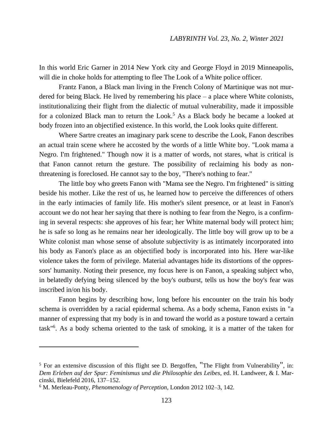In this world Eric Garner in 2014 New York city and George Floyd in 2019 Minneapolis, will die in choke holds for attempting to flee The Look of a White police officer.

Frantz Fanon, a Black man living in the French Colony of Martinique was not murdered for being Black. He lived by remembering his place – a place where White colonists, institutionalizing their flight from the dialectic of mutual vulnerability, made it impossible for a colonized Black man to return the Look.<sup>5</sup> As a Black body he became a looked at body frozen into an objectified existence. In this world, the Look looks quite different.

Where Sartre creates an imaginary park scene to describe the Look, Fanon describes an actual train scene where he accosted by the words of a little White boy. "Look mama a Negro. I'm frightened." Though now it is a matter of words, not stares, what is critical is that Fanon cannot return the gesture. The possibility of reclaiming his body as nonthreatening is foreclosed. He cannot say to the boy, "There's nothing to fear."

The little boy who greets Fanon with "Mama see the Negro. I'm frightened" is sitting beside his mother. Like the rest of us, he learned how to perceive the differences of others in the early intimacies of family life. His mother's silent presence, or at least in Fanon's account we do not hear her saying that there is nothing to fear from the Negro, is a confirming in several respects: she approves of his fear; her White maternal body will protect him; he is safe so long as he remains near her ideologically. The little boy will grow up to be a White colonist man whose sense of absolute subjectivity is as intimately incorporated into his body as Fanon's place as an objectified body is incorporated into his. Here war-like violence takes the form of privilege. Material advantages hide its distortions of the oppressors' humanity. Noting their presence, my focus here is on Fanon, a speaking subject who, in belatedly defying being silenced by the boy's outburst, tells us how the boy's fear was inscribed in/on his body.

Fanon begins by describing how, long before his encounter on the train his body schema is overridden by a racial epidermal schema. As a body schema, Fanon exists in "a manner of expressing that my body is in and toward the world as a posture toward a certain task" 6 . As a body schema oriented to the task of smoking, it is a matter of the taken for

 $\overline{a}$ 

<sup>5</sup> For an extensive discussion of this flight see D. Bergoffen, "The Flight from Vulnerability", in: *Dem Erleben auf der Spur: Feminismus und die Philosophie des Leibes*, ed. H. Landweer, & I. Marcinski, Bielefeld 2016, 137–152.

<sup>6</sup> M. Merleau-Ponty, *Phenomenology of Perception*, London 2012 102–3, 142.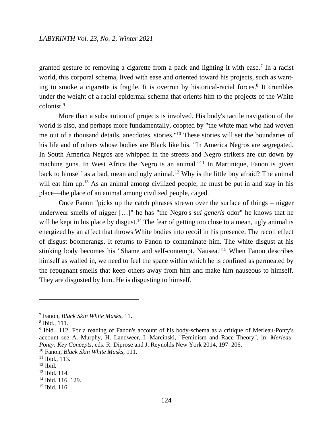granted gesture of removing a cigarette from a pack and lighting it with ease.<sup>7</sup> In a racist world, this corporal schema, lived with ease and oriented toward his projects, such as wanting to smoke a cigarette is fragile. It is overrun by historical-racial forces.<sup>8</sup> It crumbles under the weight of a racial epidermal schema that orients him to the projects of the White colonist.<sup>9</sup>

More than a substitution of projects is involved. His body's tactile navigation of the world is also, and perhaps more fundamentally, coopted by "the white man who had woven me out of a thousand details, anecdotes, stories." <sup>10</sup> These stories will set the boundaries of his life and of others whose bodies are Black like his. "In America Negros are segregated. In South America Negros are whipped in the streets and Negro strikers are cut down by machine guns. In West Africa the Negro is an animal."<sup>11</sup> In Martinique, Fanon is given back to himself as a bad, mean and ugly animal.<sup>12</sup> Why is the little boy afraid? The animal will eat him up.<sup>13</sup> As an animal among civilized people, he must be put in and stay in his place—the place of an animal among civilized people, caged.

Once Fanon "picks up the catch phrases strewn over the surface of things – nigger underwear smells of nigger […]" he has "the Negro's *sui generis* odor" he knows that he will be kept in his place by disgust.<sup>14</sup> The fear of getting too close to a mean, ugly animal is energized by an affect that throws White bodies into recoil in his presence. The recoil effect of disgust boomerangs. It returns to Fanon to contaminate him. The white disgust at his stinking body becomes his "Shame and self-contempt. Nausea." <sup>15</sup> When Fanon describes himself as walled in, we need to feel the space within which he is confined as permeated by the repugnant smells that keep others away from him and make him nauseous to himself. They are disgusted by him. He is disgusting to himself.

 $\overline{a}$ 

<sup>7</sup> Fanon, *Black Skin White Masks*, 11.

<sup>8</sup> Ibid., 111.

<sup>9</sup> Ibid., 112. For a reading of Fanon's account of his body-schema as a critique of Merleau-Ponty's account see A. Murphy, H. Landweer, I. Marcinski, "Feminism and Race Theory", in: *Merleau-Ponty: Key Concepts*, eds. R. Diprose and J. Reynolds New York 2014, 197–206.

<sup>10</sup> Fanon, *Black Skin White Masks,* 111.

<sup>11</sup> Ibid., 113.

 $12$  Ibid.

<sup>13</sup> Ibid. 114.

<sup>14</sup> Ibid. 116, 129.

<sup>15</sup> Ibid. 116.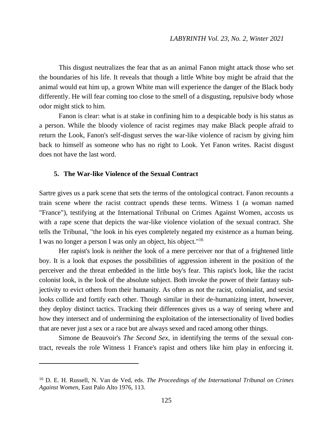This disgust neutralizes the fear that as an animal Fanon might attack those who set the boundaries of his life. It reveals that though a little White boy might be afraid that the animal would eat him up, a grown White man will experience the danger of the Black body differently. He will fear coming too close to the smell of a disgusting, repulsive body whose odor might stick to him.

Fanon is clear: what is at stake in confining him to a despicable body is his status as a person. While the bloody violence of racist regimes may make Black people afraid to return the Look, Fanon's self-disgust serves the war-like violence of racism by giving him back to himself as someone who has no right to Look. Yet Fanon writes. Racist disgust does not have the last word.

## **5. The War-like Violence of the Sexual Contract**

 $\overline{\phantom{a}}$ 

Sartre gives us a park scene that sets the terms of the ontological contract. Fanon recounts a train scene where the racist contract upends these terms. Witness 1 (a woman named "France"), testifying at the International Tribunal on Crimes Against Women, accosts us with a rape scene that depicts the war-like violence violation of the sexual contract. She tells the Tribunal, "the look in his eyes completely negated my existence as a human being. I was no longer a person I was only an object, his object."<sup>16</sup>

Her rapist's look is neither the look of a mere perceiver nor that of a frightened little boy. It is a look that exposes the possibilities of aggression inherent in the position of the perceiver and the threat embedded in the little boy's fear. This rapist's look, like the racist colonist look, is the look of the absolute subject. Both invoke the power of their fantasy subjectivity to evict others from their humanity. As often as not the racist, colonialist, and sexist looks collide and fortify each other. Though similar in their de-humanizing intent, however, they deploy distinct tactics. Tracking their differences gives us a way of seeing where and how they intersect and of undermining the exploitation of the intersectionality of lived bodies that are never just a sex or a race but are always sexed and raced among other things.

Simone de Beauvoir's *The Second Sex*, in identifying the terms of the sexual contract, reveals the role Witness 1 France's rapist and others like him play in enforcing it.

<sup>16</sup> D. E. H. Russell, N. Van de Ved, eds. *The Proceedings of the International Tribunal on Crimes Against Women*, East Palo Alto 1976, 113.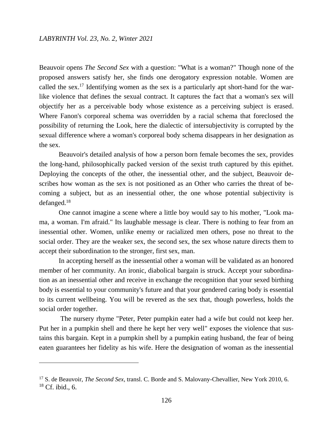$\overline{\phantom{a}}$ 

Beauvoir opens *The Second Sex* with a question: "What is a woman?" Though none of the proposed answers satisfy her, she finds one derogatory expression notable. Women are called the sex.<sup>17</sup> Identifying women as the sex is a particularly apt short-hand for the warlike violence that defines the sexual contract. It captures the fact that a woman's sex will objectify her as a perceivable body whose existence as a perceiving subject is erased. Where Fanon's corporeal schema was overridden by a racial schema that foreclosed the possibility of returning the Look, here the dialectic of intersubjectivity is corrupted by the sexual difference where a woman's corporeal body schema disappears in her designation as the sex.

Beauvoir's detailed analysis of how a person born female becomes the sex, provides the long-hand, philosophically packed version of the sexist truth captured by this epithet. Deploying the concepts of the other, the inessential other, and the subject, Beauvoir describes how woman as the sex is not positioned as an Other who carries the threat of becoming a subject, but as an inessential other, the one whose potential subjectivity is defanged.<sup>18</sup>

One cannot imagine a scene where a little boy would say to his mother, "Look mama, a woman. I'm afraid." Its laughable message is clear. There is nothing to fear from an inessential other. Women, unlike enemy or racialized men others, pose no threat to the social order. They are the weaker sex, the second sex, the sex whose nature directs them to accept their subordination to the stronger, first sex, man.

In accepting herself as the inessential other a woman will be validated as an honored member of her community. An ironic, diabolical bargain is struck. Accept your subordination as an inessential other and receive in exchange the recognition that your sexed birthing body is essential to your community's future and that your gendered caring body is essential to its current wellbeing. You will be revered as the sex that, though powerless, holds the social order together.

The nursery rhyme "Peter, Peter pumpkin eater had a wife but could not keep her. Put her in a pumpkin shell and there he kept her very well" exposes the violence that sustains this bargain. Kept in a pumpkin shell by a pumpkin eating husband, the fear of being eaten guarantees her fidelity as his wife. Here the designation of woman as the inessential

<sup>17</sup> S. de Beauvoir, *The Second Sex*, transl. C. Borde and S. Malovany-Chevallier, New York 2010, 6.  $18$  Cf. ibid., 6.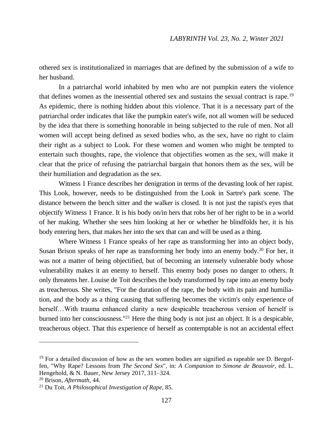othered sex is institutionalized in marriages that are defined by the submission of a wife to her husband.

In a patriarchal world inhabited by men who are not pumpkin eaters the violence that defines women as the inessential othered sex and sustains the sexual contract is rape.<sup>19</sup> As epidemic, there is nothing hidden about this violence. That it is a necessary part of the patriarchal order indicates that like the pumpkin eater's wife, not all women will be seduced by the idea that there is something honorable in being subjected to the rule of men. Not all women will accept being defined as sexed bodies who, as the sex, have no right to claim their right as a subject to Look. For these women and women who might be tempted to entertain such thoughts, rape, the violence that objectifies women as the sex, will make it clear that the price of refusing the patriarchal bargain that honors them as the sex, will be their humiliation and degradation as the sex.

Witness 1 France describes her denigration in terms of the devasting look of her rapist. This Look, however, needs to be distinguished from the Look in Sartre's park scene. The distance between the bench sitter and the walker is closed. It is not just the rapist's eyes that objectify Witness 1 France. It is his body on/in hers that robs her of her right to be in a world of her making. Whether she sees him looking at her or whether he blindfolds her, it is his body entering hers, that makes her into the sex that can and will be used as a thing.

Where Witness 1 France speaks of her rape as transforming her into an object body, Susan Brison speaks of her rape as transforming her body into an enemy body.<sup>20</sup> For her, it was not a matter of being objectified, but of becoming an intensely vulnerable body whose vulnerability makes it an enemy to herself. This enemy body poses no danger to others. It only threatens her. Louise de Toit describes the body transformed by rape into an enemy body as treacherous. She writes, "For the duration of the rape, the body with its pain and humiliation, and the body as a thing causing that suffering becomes the victim's only experience of herself...With trauma enhanced clarity a new despicable treacherous version of herself is burned into her consciousness." <sup>21</sup> Here the thing body is not just an object. It is a despicable, treacherous object. That this experience of herself as contemptable is not an accidental effect

 $\overline{\phantom{a}}$ 

 $19$  For a detailed discussion of how as the sex women bodies are signified as rapeable see D. Bergoffen, "Why Rape? Lessons from *The Second Sex*", in: *A Companion to Simone de Beauvoir*, ed. L. Hengehold, & N. Bauer, New Jersey 2017, 311–324.

<sup>20</sup> Brison, *Aftermath,* 44.

<sup>21</sup> Du Toit, *A Philosophical Investigation of Rape*, 85.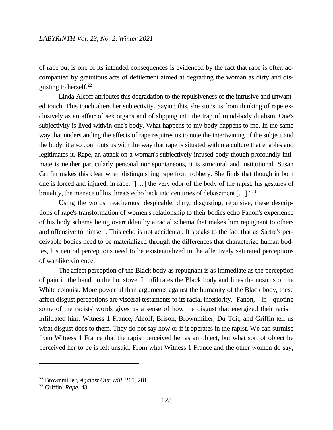of rape but is one of its intended consequences is evidenced by the fact that rape is often accompanied by gratuitous acts of defilement aimed at degrading the woman as dirty and disgusting to herself.<sup>22</sup>

Linda Alcoff attributes this degradation to the repulsiveness of the intrusive and unwanted touch. This touch alters her subjectivity. Saying this, she stops us from thinking of rape exclusively as an affair of sex organs and of slipping into the trap of mind-body dualism. One's subjectivity is lived with/in one's body. What happens to my body happens to me. In the same way that understanding the effects of rape requires us to note the intertwining of the subject and the body, it also confronts us with the way that rape is situated within a culture that enables and legitimates it. Rape, an attack on a woman's subjectively infused body though profoundly intimate is neither particularly personal nor spontaneous, it is structural and institutional. Susan Griffin makes this clear when distinguishing rape from robbery. She finds that though in both one is forced and injured, in rape, "[…] the very odor of the body of the rapist, his gestures of brutality, the menace of his threats echo back into centuries of debasement [...].<sup>123</sup>

Using the words treacherous, despicable, dirty, disgusting, repulsive, these descriptions of rape's transformation of women's relationship to their bodies echo Fanon's experience of his body schema being overridden by a racial schema that makes him repugnant to others and offensive to himself. This echo is not accidental. It speaks to the fact that as Sartre's perceivable bodies need to be materialized through the differences that characterize human bodies, his neutral perceptions need to be existentialized in the affectively saturated perceptions of war-like violence.

The affect perception of the Black body as repugnant is as immediate as the perception of pain in the hand on the hot stove. It infiltrates the Black body and lines the nostrils of the White colonist. More powerful than arguments against the humanity of the Black body, these affect disgust perceptions are visceral testaments to its racial inferiority. Fanon, in quoting some of the racists' words gives us a sense of how the disgust that energized their racism infiltrated him. Witness 1 France, Alcoff, Brison, Brownmiller, Du Toit, and Griffin tell us what disgust does to them. They do not say how or if it operates in the rapist. We can surmise from Witness 1 France that the rapist perceived her as an object, but what sort of object he perceived her to be is left unsaid. From what Witness 1 France and the other women do say,

 $\overline{\phantom{a}}$ 

<sup>22</sup> Brownmiller, *Against Our Will,* 215, 281.

<sup>23</sup> Griffin, *Rape,* 43.